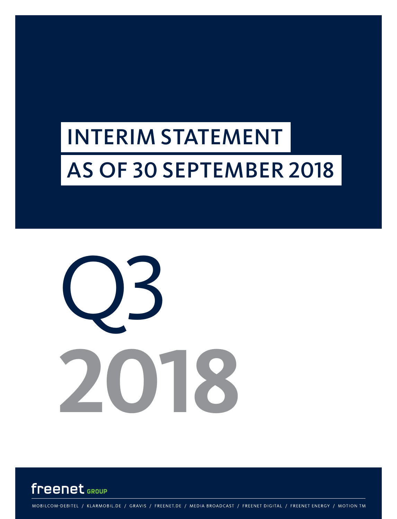# INTERIM STATEMENT AS OF 30 SEPTEMBER 2018





MOBILCOM-DEBITEL / KLARMOBIL.DE / GRAVIS / FREENET.DE / MEDIA BROADCAST / FREENET DIGITAL / FREENET ENERGY / MOTION TM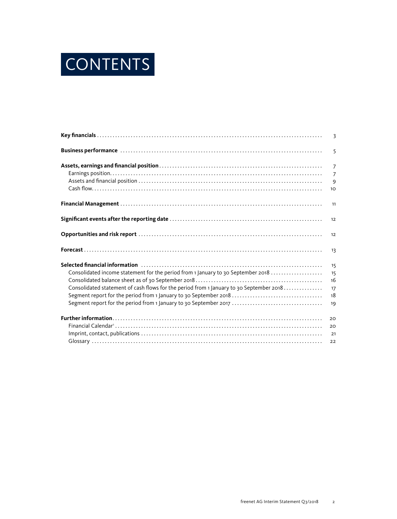

| Business performance www.communications.com/www.communications.com/www.communications.com | 5              |
|-------------------------------------------------------------------------------------------|----------------|
|                                                                                           | $\overline{7}$ |
|                                                                                           | $\overline{7}$ |
|                                                                                           | 9              |
|                                                                                           | 10             |
|                                                                                           | 11             |
|                                                                                           | 12             |
|                                                                                           | 12             |
|                                                                                           | 13             |
|                                                                                           | 15             |
| Consolidated income statement for the period from 1 January to 30 September 2018          | 15             |
|                                                                                           | 16             |
| Consolidated statement of cash flows for the period from 1 January to 30 September 2018   | 17             |
| Segment report for the period from 1 January to 30 September 2018                         | 18             |
| Segment report for the period from 1 January to 30 September 2017                         | 19             |
|                                                                                           | 20             |
|                                                                                           | 20             |
|                                                                                           | 21             |
|                                                                                           | 22             |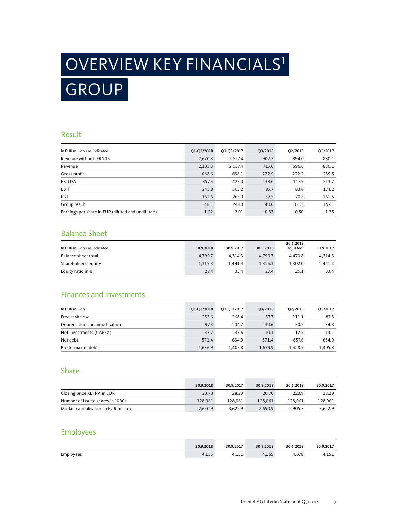# OVERVIEW KEY FINANCIALS1 GROUP

### Result

| In EUR million / as indicated                     | Q1-Q3/2018 | Q1-Q3/2017 | Q3/2018 | Q2/2018 | Q3/2017 |
|---------------------------------------------------|------------|------------|---------|---------|---------|
| Revenue without IFRS 15                           | 2,670.3    | 2,557.4    | 902.7   | 894.0   | 880.1   |
| Revenue                                           | 2,103.3    | 2,557.4    | 717.0   | 696.6   | 880.1   |
| Gross profit                                      | 668.6      | 698.1      | 222.9   | 222.2   | 239.5   |
| <b>EBITDA</b>                                     | 357.5      | 423.0      | 133.0   | 117.9   | 213.7   |
| EBIT                                              | 245.8      | 303.2      | 97.7    | 83.0    | 174.2   |
| EBT                                               | 162.6      | 265.9      | 37.5    | 70.8    | 161.5   |
| Group result                                      | 148.1      | 249.0      | 40.0    | 61.3    | 157.1   |
| Earnings per share in EUR (diluted and undiluted) | 1.22       | 2.01       | 0.33    | 0.50    | 1.25    |

## Balance Sheet

| In EUR million / as indicated | 30.9.2018 | 30.9.2017 | 30.9.2018 | 30.6.2018<br>adiusted <sup>2</sup> | 30.9.2017 |
|-------------------------------|-----------|-----------|-----------|------------------------------------|-----------|
| Balance sheet total           | 4.799.7   | 4.314.3   | 4.799.7   | 4.470.8                            | 4.314.3   |
| Shareholders' equity          | 1.315.3   | 1.441.4   | 1.315.3   | 1.302.0                            | 1.441.4   |
| Equity ratio in %             | 27.4      | 33.4      | 27.4      | 29.1                               | 33.4      |

### Finances and investments

| In EUR million                | Q1-Q3/2018 | 01-03/2017 | O3/2018 | O2/2018 | Q3/2017 |
|-------------------------------|------------|------------|---------|---------|---------|
| Free cash flow                | 253.6      | 268.4      | 87.7    | 111.1   | 87.3    |
| Depreciation and amortisation | 97.3       | 104.2      | 30.6    | 30.2    | 34.3    |
| Net investments (CAPEX)       | 33.7       | 43.6       | 10.1    | 12.5    | 13.1    |
| Net debt                      | 571.4      | 634.9      | 571.4   | 657.6   | 634.9   |
| Pro forma net debt            | 1,636.9    | 1.405.8    | 1.639.9 | 1.428.5 | 1.405.8 |

#### Share

|                                      | 30.9.2018 | 30.9.2017 | 30.9.2018 | 30.6.2018 | 30.9.2017 |
|--------------------------------------|-----------|-----------|-----------|-----------|-----------|
| Closing price XETRA in EUR           | 20.70     | 28.29     | 20.70     | 22.69     | 28.29     |
| Number of issued shares in `000s     | 128,061   | 128.061   | 128,061   | 128.061   | 128.061   |
| Market capitalisation in EUR million | 2.650.9   | 3.622.9   | 2.650.9   | 2.905.7   | 3.622.9   |

### Employees

|           | 30.9.2018     | 30.9.2017    | .9.2018      | 30.6.2018 | 30.9.2017 |
|-----------|---------------|--------------|--------------|-----------|-----------|
| Employees | 2.55<br>サイエンジ | 1.51<br>---- | <b>Titul</b> | 070       | .         |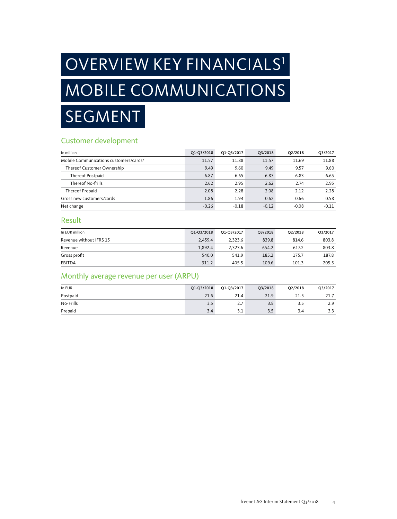# OVERVIEW KEY FINANCIALS<sup>1</sup> MOBILE COMMUNICATIONS SEGMENT

## Customer development

| In million                                         | Q1-Q3/2018 | Q1-Q3/2017 | O3/2018 | 02/2018 | Q3/2017 |
|----------------------------------------------------|------------|------------|---------|---------|---------|
| Mobile Communications customers/cards <sup>3</sup> | 11.57      | 11.88      | 11.57   | 11.69   | 11.88   |
| Thereof Customer Ownership                         | 9.49       | 9.60       | 9.49    | 9.57    | 9.60    |
| Thereof Postpaid                                   | 6.87       | 6.65       | 6.87    | 6.83    | 6.65    |
| Thereof No-frills                                  | 2.62       | 2.95       | 2.62    | 2.74    | 2.95    |
| Thereof Prepaid                                    | 2.08       | 2.28       | 2.08    | 2.12    | 2.28    |
| Gross new customers/cards                          | 1.86       | 1.94       | 0.62    | 0.66    | 0.58    |
| Net change                                         | $-0.26$    | $-0.18$    | $-0.12$ | $-0.08$ | $-0.11$ |

### Result

| In EUR million          | Q1-Q3/2018 | Q1-Q3/2017 | Q3/2018 | O2/2018 | Q3/2017 |
|-------------------------|------------|------------|---------|---------|---------|
| Revenue without IFRS 15 | 2.459.4    | 2.323.6    | 839.8   | 814.6   | 803.8   |
| Revenue                 | 1.892.4    | 2.323.6    | 654.2   | 617.2   | 803.8   |
| Gross profit            | 540.0      | 541.9      | 185.2   | 175.7   | 187.8   |
| EBITDA                  | 311.2      | 405.5      | 109.6   | 101.3   | 205.5   |

## Monthly average revenue per user (ARPU)

| In EUR    | Q1-Q3/2018 | Q1-Q3/2017 | Q3/2018 | Q2/2018 | Q3/2017 |
|-----------|------------|------------|---------|---------|---------|
| Postpaid  | 21.6       | 21.4       | 21.9    | 21.5    | 21.7    |
| No-Frills | 3.5        | 2.7        | 3.8     | 3.5     | 2.9     |
| Prepaid   | 3.4        | 3.1        | 3.5     | 3.4     | 3.3     |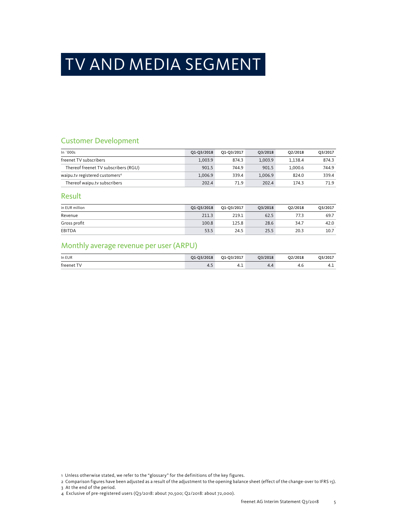## TV AND MEDIA SEGMENT

## Customer Development

| In $000s$                                  | Q1-Q3/2018 | Q1-Q3/2017 | 03/2018 | 02/2018 | Q3/2017 |
|--------------------------------------------|------------|------------|---------|---------|---------|
| freenet TV subscribers                     | 1.003.9    | 874.3      | 1.003.9 | 1.138.4 | 874.3   |
| Thereof freenet TV subscribers (RGU)       | 901.5      | 744.9      | 901.5   | 1.000.6 | 744.9   |
| waipu.tv registered customers <sup>4</sup> | 1.006.9    | 339.4      | 1.006.9 | 824.0   | 339.4   |
| Thereof waipu.tv subscribers               | 202.4      | 71.9       | 202.4   | 174.3   | 71.9    |

### Result

| in EUR million | Q1-Q3/2018 | Q1-Q3/2017 | Q3/2018 | O2/2018 | Q3/2017 |
|----------------|------------|------------|---------|---------|---------|
| Revenue        | 211.3      | 219.1      | 62.5    | 77.3    | 69.7    |
| Gross profit   | 100.8      | 125.8      | 28.6    | 34.7    | 42.0    |
| <b>EBITDA</b>  | 53.5       | 24.5       | 25.5    | 20.3    | 10.7    |

## Monthly average revenue per user (ARPU)

| In EUR          | Q1-Q3/2018 | Q1-Q3/2017 | Q3/2018 | Q2/2018 | Q3/2017 |
|-----------------|------------|------------|---------|---------|---------|
| freenet T<br>TV | 4.5        | -4.1       | - -     | 4.U     | 4.1     |

1 Unless otherwise stated, we refer to the "glossary" for the definitions of the key figures.

2 Comparison figures have been adjusted as a result of the adjustment to the opening balance sheet (effect of the change-over to IFRS 15). 3 At the end of the period.

4 Exclusive of pre-registered users (Q3/2018: about 70,500; Q2/2018: about 72,000).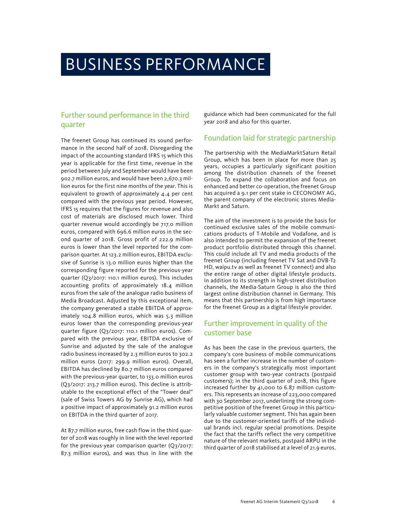## BUSINESS PERFORMANCE

## Further sound performance in the third quarter

The freenet Group has continued its sound performance in the second half of 2018. Disregarding the impact of the accounting standard IFRS 15 which this year is applicable for the first time, revenue in the period between July and September would have been 902.7 million euros, and would have been 2,670.3 million euros for the first nine months of the year. This is equivalent to growth of approximately 4.4 per cent compared with the previous year period. However, IFRS 15 requires that the figures for revenue and also cost of materials are disclosed much lower. Third quarter revenue would accordingly be 717.0 million euros, compared with 696.6 million euros in the second quarter of 2018. Gross profit of 222.9 million euros is lower than the level reported for the comparison quarter. At 123.2 million euros, EBITDA exclusive of Sunrise is 13.0 million euros higher than the corresponding figure reported for the previous-year quarter (Q3/2017: 110.1 million euros). This includes accounting profits of approximately 18.4 million euros from the sale of the analogue radio business of Media Broadcast. Adjusted by this exceptional item, the company generated a stable EBITDA of approximately 104.8 million euros, which was 5.3 million euros lower than the corresponding previous-year quarter figure (Q3/2017: 110.1 million euros). Compared with the previous year, EBITDA exclusive of Sunrise and adjusted by the sale of the analogue radio business increased by 2.3 million euros to 302.2 million euros (2017: 299.9 million euros). Overall, EBITDA has declined by 80.7 million euros compared with the previous-year quarter, to 133.0 million euros (Q3/2017: 213.7 million euros). This decline is attributable to the exceptional effect of the "Tower deal" (sale of Swiss Towers AG by Sunrise AG), which had a positive impact of approximately 91.2 million euros on EBITDA in the third quarter of 2017.

At 87.7 million euros, free cash flow in the third quarter of 2018 was roughly in line with the level reported for the previous-year comparison quarter (Q3/2017: 87.3 million euros), and was thus in line with the

guidance which had been communicated for the full year 2018 and also for this quarter.

#### Foundation laid for strategic partnership

The partnership with the MediaMarktSaturn Retail Group, which has been in place for more than 25 years, occupies a particularly significant position among the distribution channels of the freenet Group. To expand the collaboration and focus on enhanced and better co-operation, the freenet Group has acquired a 9.1 per cent stake in CECONOMY AG, the parent company of the electronic stores Media-Markt and Saturn.

The aim of the investment is to provide the basis for continued exclusive sales of the mobile communications products of T-Mobile and Vodafone, and is also intended to permit the expansion of the freenet product portfolio distributed through this channel. This could include all TV and media products of the freenet Group (including freenet TV Sat and DVB-T2 HD, waipu.tv as well as freenet TV connect) and also the entire range of other digital lifestyle products. In addition to its strength in high-street distribution channels, the Media-Saturn Group is also the third largest online distribution channel in Germany. This means that this partnership is from high importance for the freenet Group as a digital lifestyle provider.

## Further improvement in quality of the customer base

As has been the case in the previous quarters, the company's core business of mobile communications has seen a further increase in the number of customers in the company's strategically most important customer group with two-year contracts (postpaid customers); in the third quarter of 2018, this figure increased further by 41,000 to 6.87 million customers. This represents an increase of 223,000 compared with 30 September 2017, underlining the strong competitive position of the freenet Group in this particularly valuable customer segment. This has again been due to the customer-oriented tariffs of the individual brands incl. regular special promotions. Despite the fact that the tariffs reflect the very competitive nature of the relevant markets, postpaid ARPU in the third quarter of 2018 stabilised at a level of 21.9 euros.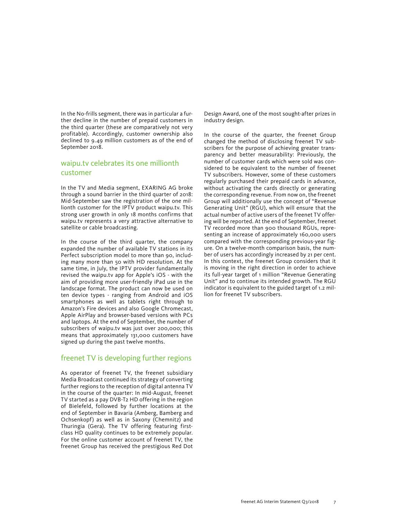In the No-frills segment, there was in particular a further decline in the number of prepaid customers in the third quarter (these are comparatively not very profitable). Accordingly, customer ownership also declined to 9.49 million customers as of the end of September 2018.

#### waipu.tv celebrates its one millionth customer

In the TV and Media segment, EXARING AG broke through a sound barrier in the third quarter of 2018: Mid-September saw the registration of the one millionth customer for the IPTV product waipu.tv. This strong user growth in only 18 months confirms that waipu.tv represents a very attractive alternative to satellite or cable broadcasting.

In the course of the third quarter, the company expanded the number of available TV stations in its Perfect subscription model to more than 90, including many more than 50 with HD resolution. At the same time, in July, the IPTV provider fundamentally revised the waipu.tv app for Apple's iOS - with the aim of providing more user-friendly iPad use in the landscape format. The product can now be used on ten device types - ranging from Android and iOS smartphones as well as tablets right through to Amazon's Fire devices and also Google Chromecast, Apple AirPlay and browser-based versions with PCs and laptops. At the end of September, the number of subscribers of waipu.tv was just over 200,000; this means that approximately 131,000 customers have signed up during the past twelve months.

#### freenet TV is developing further regions

As operator of freenet TV, the freenet subsidiary Media Broadcast continued its strategy of converting further regions to the reception of digital antenna TV in the course of the quarter: In mid-August, freenet TV started as a pay DVB-T2 HD offering in the region of Bielefeld, followed by further locations at the end of September in Bavaria (Amberg, Bamberg and Ochsenkopf) as well as in Saxony (Chemnitz) and Thuringia (Gera). The TV offering featuring firstclass HD quality continues to be extremely popular. For the online customer account of freenet TV, the freenet Group has received the prestigious Red Dot

Design Award, one of the most sought-after prizes in industry design.

In the course of the quarter, the freenet Group changed the method of disclosing freenet TV subscribers for the purpose of achieving greater transparency and better measurability: Previously, the number of customer cards which were sold was considered to be equivalent to the number of freenet TV subscribers. However, some of these customers regularly purchased their prepaid cards in advance, without activating the cards directly or generating the corresponding revenue. From now on, the freenet Group will additionally use the concept of "Revenue Generating Unit" (RGU), which will ensure that the actual number of active users of the freenet TV offering will be reported. At the end of September, freenet TV recorded more than 900 thousand RGUs, representing an increase of approximately 160,000 users compared with the corresponding previous-year figure. On a twelve-month comparison basis, the number of users has accordingly increased by 21 per cent. In this context, the freenet Group considers that it is moving in the right direction in order to achieve its full-year target of 1 million "Revenue Generating Unit" and to continue its intended growth. The RGU indicator is equivalent to the guided target of 1.2 million for freenet TV subscribers.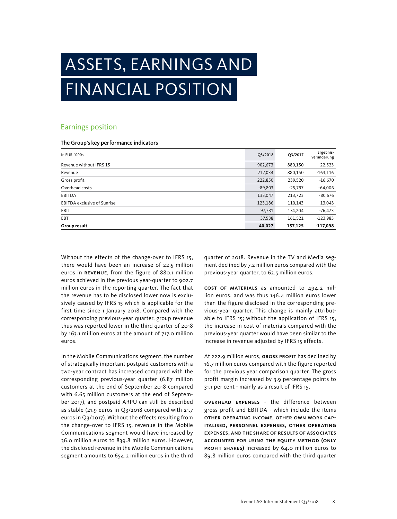## ASSETS, EARNINGS AND FINANCIAL POSITION

### Earnings position

#### The Group's key performance indicators

| In EUR `000s                       | Q3/2018   | Q3/2017   | Ergebnis-<br>veränderung |
|------------------------------------|-----------|-----------|--------------------------|
| Revenue without IFRS 15            | 902,673   | 880,150   | 22,523                   |
| Revenue                            | 717,034   | 880,150   | $-163,116$               |
| Gross profit                       | 222,850   | 239,520   | $-16,670$                |
| Overhead costs                     | $-89,803$ | $-25,797$ | $-64,006$                |
| <b>EBITDA</b>                      | 133,047   | 213,723   | $-80,676$                |
| <b>EBITDA exclusive of Sunrise</b> | 123,186   | 110,143   | 13,043                   |
| EBIT                               | 97,731    | 174,204   | $-76,473$                |
| EBT                                | 37,538    | 161,521   | $-123,983$               |
| Group result                       | 40,027    | 157,125   | $-117,098$               |

Without the effects of the change-over to IFRS 15, there would have been an increase of 22.5 million euros in REVENUE, from the figure of 880.1 million euros achieved in the previous year-quarter to 902.7 million euros in the reporting quarter. The fact that the revenue has to be disclosed lower now is exclusively caused by IFRS 15 which is applicable for the first time since 1 January 2018. Compared with the corresponding previous-year quarter, group revenue thus was reported lower in the third quarter of 2018 by 163.1 million euros at the amount of 717.0 million euros.

In the Mobile Communications segment, the number of strategically important postpaid customers with a two-year contract has increased compared with the corresponding previous-year quarter (6.87 million customers at the end of September 2018 compared with 6.65 million customers at the end of September 2017), and postpaid ARPU can still be described as stable (21.9 euros in Q3/2018 compared with 21.7 euros in Q3/2017). Without the effects resulting from the change-over to IFRS 15, revenue in the Mobile Communications segment would have increased by 36.0 million euros to 839.8 million euros. However, the disclosed revenue in the Mobile Communications segment amounts to 654.2 million euros in the third quarter of 2018. Revenue in the TV and Media segment declined by 7.2 million euros compared with the previous-year quarter, to 62.5 million euros.

Cost of materials as amounted to 494.2 million euros, and was thus 146.4 million euros lower than the figure disclosed in the corresponding previous-year quarter. This change is mainly attributable to IFRS 15; without the application of IFRS 15, the increase in cost of materials compared with the previous-year quarter would have been similar to the increase in revenue adjusted by IFRS 15 effects.

At 222.9 million euros, GROSS PROFIT has declined by 16.7 million euros compared with the figure reported for the previous year comparison quarter. The gross profit margin increased by 3.9 percentage points to 31.1 per cent - mainly as a result of IFRS 15.

Overhead expenses - the difference between gross profit and EBITDA - which include the items other operating income, other own work capitalised, personnel expenses, other operating expenses, and the share of results of associates accounted for using the equity method (only PROFIT SHARES) increased by 64.0 million euros to 89.8 million euros compared with the third quarter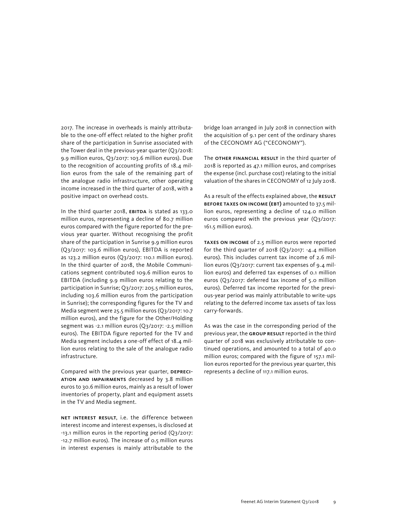2017. The increase in overheads is mainly attributable to the one-off effect related to the higher profit share of the participation in Sunrise associated with the Tower deal in the previous-year quarter (Q3/2018: 9.9 million euros, Q3/2017: 103.6 million euros). Due to the recognition of accounting profits of 18.4 million euros from the sale of the remaining part of the analogue radio infrastructure, other operating income increased in the third quarter of 2018, with a positive impact on overhead costs.

In the third quarter 2018, EBITDA is stated as 133.0 million euros, representing a decline of 80.7 million euros compared with the figure reported for the previous year quarter. Without recognising the profit share of the participation in Sunrise 9.9 million euros (Q3/2017: 103.6 million euros), EBITDA is reported as 123.2 million euros (Q3/2017: 110.1 million euros). In the third quarter of 2018, the Mobile Communications segment contributed 109.6 million euros to EBITDA (including 9.9 million euros relating to the participation in Sunrise; Q3/2017: 205.5 million euros, including 103.6 million euros from the participation in Sunrise); the corresponding figures for the TV and Media segment were 25.5 million euros (Q3/2017: 10.7 million euros), and the figure for the Other/Holding segment was -2.1 million euros (Q3/2017: -2.5 million euros). The EBITDA figure reported for the TV and Media segment includes a one-off effect of 18.4 million euros relating to the sale of the analogue radio infrastructure.

Compared with the previous year quarter, DEPRECIation and impairments decreased by 3.8 million euros to 30.6 million euros, mainly as a result of lower inventories of property, plant and equipment assets in the TV and Media segment.

NET INTEREST RESULT, i.e. the difference between interest income and interest expenses, is disclosed at -13.1 million euros in the reporting period (Q3/2017: -12.7 million euros). The increase of 0.5 million euros in interest expenses is mainly attributable to the

bridge loan arranged in July 2018 in connection with the acquisition of 9.1 per cent of the ordinary shares of the CECONOMY AG ("CECONOMY").

The OTHER FINANCIAL RESULT in the third quarter of 2018 is reported as 47.1 million euros, and comprises the expense (incl. purchase cost) relating to the initial valuation of the shares in CECONOMY of 12 July 2018.

As a result of the effects explained above, the RESULT before taxes on income (EBT) amounted to 37.5 million euros, representing a decline of 124.0 million euros compared with the previous year (Q3/2017: 161.5 million euros).

Taxes on income of 2.5 million euros were reported for the third quarter of 2018 (Q3/2017: -4.4 million euros). This includes current tax income of 2.6 million euros (Q3/2017: current tax expenses of 9.4 million euros) and deferred tax expenses of 0.1 million euros (Q3/2017: deferred tax income of 5.0 million euros). Deferred tax income reported for the previous-year period was mainly attributable to write-ups relating to the deferred income tax assets of tax loss carry-forwards.

As was the case in the corresponding period of the previous year, the GROUP RESULT reported in the third quarter of 2018 was exclusively attributable to continued operations, and amounted to a total of 40.0 million euros; compared with the figure of 157.1 million euros reported for the previous year quarter, this represents a decline of 117.1 million euros.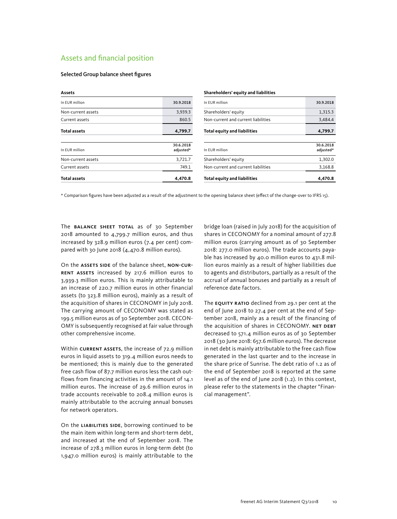### Assets and financial position

#### Selected Group balance sheet figures

| Assets              |                        | Shareholders' equity and liabilities |                        |
|---------------------|------------------------|--------------------------------------|------------------------|
| In EUR million      | 30.9.2018              | In EUR million                       | 30.9.2018              |
| Non-current assets  | 3,939.3                | Shareholders' equity                 | 1,315.3                |
| Current assets      | 860.5                  | Non-current and current liabilities  | 3,484.4                |
| <b>Total assets</b> | 4,799.7                | <b>Total equity and liabilities</b>  | 4,799.7                |
| In EUR million      | 30.6.2018<br>adjusted* | In EUR million                       | 30.6.2018<br>adjusted* |
| Non-current assets  | 3,721.7                | Shareholders' equity                 | 1,302.0                |
| Current assets      | 749.1                  | Non-current and current liabilities  | 3,168.8                |
| <b>Total assets</b> | 4,470.8                | <b>Total equity and liabilities</b>  | 4,470.8                |

\* Comparison figures have been adjusted as a result of the adjustment to the opening balance sheet (effect of the change-over to IFRS 15).

The **BALANCE SHEET TOTAL** as of 30 September 2018 amounted to 4,799.7 million euros, and thus increased by 328.9 million euros (7.4 per cent) compared with 30 June 2018 (4,470.8 million euros).

On the ASSETS SIDE of the balance sheet, NON-CURrent assets increased by 217.6 million euros to 3,939.3 million euros. This is mainly attributable to an increase of 220.7 million euros in other financial assets (to 323.8 million euros), mainly as a result of the acquisition of shares in CECONOMY in July 2018. The carrying amount of CECONOMY was stated as 199.5 million euros as of 30 September 2018. CECON-OMY is subsequently recognised at fair value through other comprehensive income.

Within CURRENT ASSETS, the increase of 72.9 million euros in liquid assets to 319.4 million euros needs to be mentioned; this is mainly due to the generated free cash flow of 87.7 million euros less the cash outflows from financing activities in the amount of 14.1 million euros. The increase of 29.6 million euros in trade accounts receivable to 208.4 million euros is mainly attributable to the accruing annual bonuses for network operators.

On the LIABILITIES SIDE, borrowing continued to be the main item within long-term and short-term debt, and increased at the end of September 2018. The increase of 278.3 million euros in long-term debt (to 1,947.0 million euros) is mainly attributable to the

bridge loan (raised in July 2018) for the acquisition of shares in CECONOMY for a nominal amount of 277.8 million euros (carrying amount as of 30 September 2018: 277.0 million euros). The trade accounts payable has increased by 40.0 million euros to 431.8 million euros mainly as a result of higher liabilities due to agents and distributors, partially as a result of the accrual of annual bonuses and partially as a result of reference date factors.

The **EQUITY RATIO** declined from 29.1 per cent at the end of June 2018 to 27.4 per cent at the end of September 2018, mainly as a result of the financing of the acquisition of shares in CECONOMY. NET DEBT decreased to 571.4 million euros as of 30 September 2018 (30 June 2018: 657.6 million euros). The decrease in net debt is mainly attributable to the free cash flow generated in the last quarter and to the increase in the share price of Sunrise. The debt ratio of 1.2 as of the end of September 2018 is reported at the same level as of the end of June 2018 (1.2). In this context, please refer to the statements in the chapter "Financial management".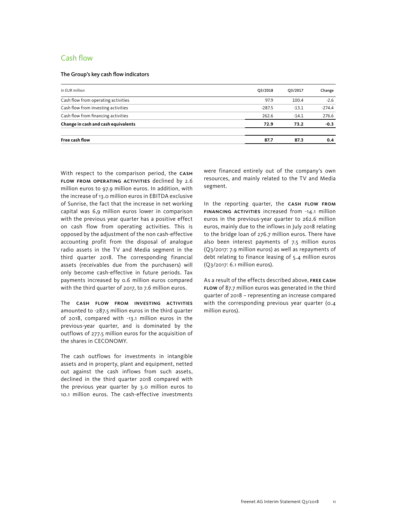### Cash flow

#### The Group's key cash flow indicators

| O3/2018  | Q3/2017 | Change   |
|----------|---------|----------|
| 97.9     | 100.4   | $-2.6$   |
| $-287.5$ | $-13.1$ | $-274.4$ |
| 262.6    | $-14.1$ | 276.6    |
| 72.9     | 73.2    | $-0.3$   |
| 87.7     | 87.3    | 0.4      |
|          |         |          |

With respect to the comparison period, the CASH flow from operating activities declined by 2.6 million euros to 97.9 million euros. In addition, with the increase of 13.0 million euros in EBITDA exclusive of Sunrise, the fact that the increase in net working capital was 6,9 million euros lower in comparison with the previous year quarter has a positive effect on cash flow from operating activities. This is opposed by the adjustment of the non cash-effective accounting profit from the disposal of analogue radio assets in the TV and Media segment in the third quarter 2018. The corresponding financial assets (receivables due from the purchasers) will only become cash-effective in future periods. Tax payments increased by 0.6 million euros compared with the third quarter of 2017, to 7.6 million euros.

The cash flow from investing activities amounted to -287.5 million euros in the third quarter of 2018, compared with -13.1 million euros in the previous-year quarter, and is dominated by the outflows of 277.5 million euros for the acquisition of the shares in CECONOMY.

The cash outflows for investments in intangible assets and in property, plant and equipment, netted out against the cash inflows from such assets, declined in the third quarter 2018 compared with the previous year quarter by 3.0 million euros to 10.1 million euros. The cash-effective investments

were financed entirely out of the company's own resources, and mainly related to the TV and Media segment.

In the reporting quarter, the CASH FLOW FROM financing activities increased from -14.1 million euros in the previous-year quarter to 262.6 million euros, mainly due to the inflows in July 2018 relating to the bridge loan of 276.7 million euros. There have also been interest payments of 7.5 million euros (Q3/2017: 7.9 million euros) as well as repayments of debt relating to finance leasing of 5.4 million euros (Q3/2017: 6.1 million euros).

As a result of the effects described above, free cash flow of 87.7 million euros was generated in the third quarter of 2018 – representing an increase compared with the corresponding previous year quarter (0.4 million euros).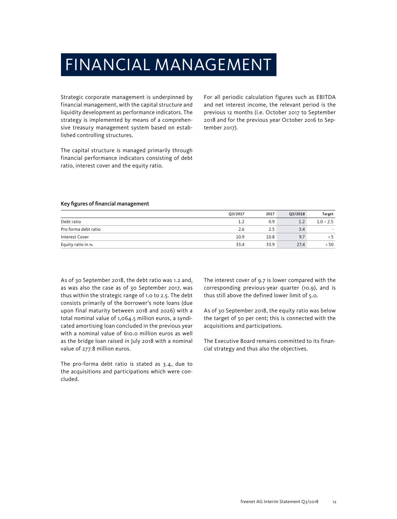## FINANCIAL MANAGEMENT

Strategic corporate management is underpinned by financial management, with the capital structure and liquidity development as performance indicators. The strategy is implemented by means of a comprehensive treasury management system based on established controlling structures.

The capital structure is managed primarily through financial performance indicators consisting of debt ratio, interest cover and the equity ratio.

For all periodic calculation figures such as EBITDA and net interest income, the relevant period is the previous 12 months (i.e. October 2017 to September 2018 and for the previous year October 2016 to September 2017).

#### Key figures of financial management

|                      | Q3/2017 | 2017 | O3/2018 | Target      |
|----------------------|---------|------|---------|-------------|
| Debt ratio           |         | 0.9  |         | $1.0 - 2.5$ |
| Pro forma debt ratio | 2.6     | 2.5  | 3.4     |             |
| Interest Cover       | 10.9    | 10.8 | 9.7     | ל <         |
| Equity ratio in %    | 33.4    | 33.9 | 27.4    | 50ء         |

As of 30 September 2018, the debt ratio was 1.2 and, as was also the case as of 30 September 2017, was thus within the strategic range of 1.0 to 2.5. The debt consists primarily of the borrower's note loans (due upon final maturity between 2018 and 2026) with a total nominal value of 1,064.5 million euros, a syndicated amortising loan concluded in the previous year with a nominal value of 610.0 million euros as well as the bridge loan raised in July 2018 with a nominal value of 277.8 million euros.

The pro-forma debt ratio is stated as 3.4, due to the acquisitions and participations which were concluded.

The interest cover of 9.7 is lower compared with the corresponding previous-year quarter (10.9), and is thus still above the defined lower limit of 5.0.

As of 30 September 2018, the equity ratio was below the target of 50 per cent; this is connected with the acquisitions and participations.

The Executive Board remains committed to its financial strategy and thus also the objectives.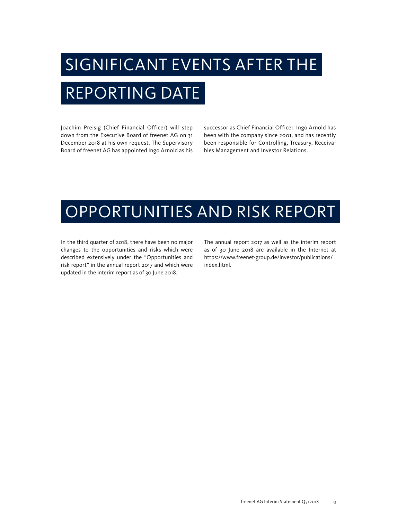# SIGNIFICANT EVENTS AFTER THE REPORTING DATE

Joachim Preisig (Chief Financial Officer) will step down from the Executive Board of freenet AG on 31 December 2018 at his own request. The Supervisory Board of freenet AG has appointed Ingo Arnold as his

successor as Chief Financial Officer. Ingo Arnold has been with the company since 2001, and has recently been responsible for Controlling, Treasury, Receivables Management and Investor Relations.

## OPPORTUNITIES AND RISK REPORT

In the third quarter of 2018, there have been no major changes to the opportunities and risks which were described extensively under the "Opportunities and risk report" in the annual report 2017 and which were updated in the interim report as of 30 June 2018.

The annual report 2017 as well as the interim report as of 30 June 2018 are available in the Internet at https://www.freenet-group.de/investor/publications/ index.html.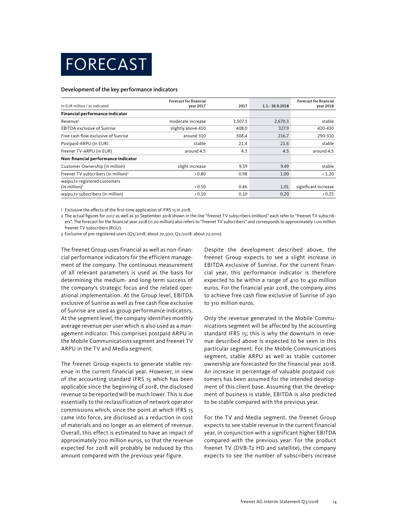

#### Development of the key performance indicators

|                                                   | <b>Forecast for financial</b> |         |                  | <b>Forecast for financial</b> |
|---------------------------------------------------|-------------------------------|---------|------------------|-------------------------------|
| In EUR million / as indicated                     | year 2017                     | 2017    | 1.1. - 30.9.2018 | year 2018                     |
| Financial performance indicator                   |                               |         |                  |                               |
| $Re$ venue $1$                                    | moderate increase             | 3.507.3 | 2,670.3          | stable                        |
| <b>EBITDA</b> exclusive of Sunrise                | slightly above 410            | 408.0   | 327.9            | 410-430                       |
| Free cash flow exclusive of Sunrise               | around 310                    | 308.4   | 216.7            | 290-310                       |
| Postpaid-ARPU (in EUR)                            | stable                        | 21.4    | 21.6             | stable                        |
| freenet TV-ARPU (in EUR)                          | around 4.5                    | 4.3     | 4.5              | around 4.5                    |
| Non-financial performance indicator               |                               |         |                  |                               |
| Customer Ownership (in million)                   | slight increase               | 9.59    | 9.49             | stable                        |
| freenet TV subscribers (in million) <sup>2</sup>  | > 0.80                        | 0.98    | 1.00             | >1.20                         |
| waipu.tv registered customers<br>(in million) $3$ | > 0.50                        | 0.46    | 1.01             | significant increase          |
| waipu.tv subscribers (in million)                 | > 0.10                        | 0.10    | 0.20             | > 0.25                        |

1 Exclusive the effects of the first-time application of IFRS 15 in 2018.

2 The actual figures for 2017 as well as 30 September 2018 shown in the line "freenet TV subscribers (million)" each refer to "freenet TV subscribers". The forecast for the financial year 2018 (>1.20 million) also refers to "freenet TV subscribers" and corresponds to approximately 1.00 million freenet TV subscribers (RGU).

3 Exclusive of pre-registered users (Q3/2018: about 70,500; Q2/2018: about 72,000).

The freenet Group uses financial as well as non-financial performance indicators for the efficient management of the company. The continuous measurement of all relevant parameters is used as the basis for determining the medium- and long-term success of the company's strategic focus and the related operational implementation. At the Group level, EBITDA exclusive of Sunrise as well as free cash flow exclusive of Sunrise are used as group performance indicators. At the segment level, the company identifies monthly average revenue per user which is also used as a management indicator. This comprises postpaid ARPU in the Mobile Communications segment and freenet TV ARPU in the TV and Media segment.

The freenet Group expects to generate stable revenue in the current financial year. However, in view of the accounting standard IFRS 15 which has been applicable since the beginning of 2018, the disclosed revenue to be reported will be much lower. This is due essentially to the reclassification of network operator commissions which, since the point at which IFRS 15 came into force, are disclosed as a reduction in cost of materials and no longer as an element of revenue. Overall, this effect is estimated to have an impact of approximately 700 million euros, so that the revenue expected for 2018 will probably be reduced by this amount compared with the previous-year figure.

Despite the development described above, the freenet Group expects to see a slight increase in EBITDA exclusive of Sunrise. For the current financial year, this performance indicator is therefore expected to be within a range of 410 to 430 million euros. For the financial year 2018, the company aims to achieve free cash flow exclusive of Sunrise of 290 to 310 million euros.

Only the revenue generated in the Mobile Communications segment will be affected by the accounting standard IFRS 15; this is why the downturn in revenue described above is expected to be seen in this particular segment. For the Mobile Communications segment, stable ARPU as well as stable customer ownership are forecasted for the financial year 2018. An increase in percentage of valuable postpaid customers has been assumed for the intended development of this client base. Assuming that the development of business is stable, EBITDA is also predicted to be stable compared with the previous year.

For the TV and Media segment, the freenet Group expects to see stable revenue in the current financial year, in conjunction with a significant higher EBITDA compared with the previous year. For the product freenet TV (DVB-T2 HD and satellite), the company expects to see the number of subscribers increase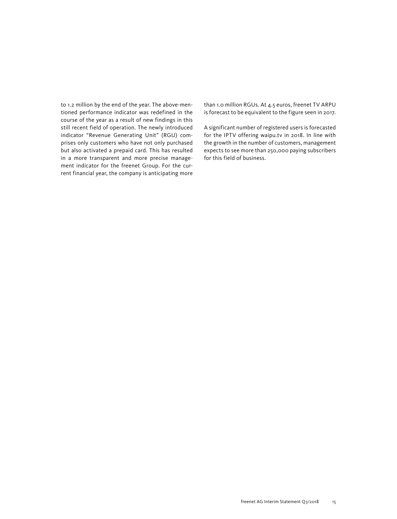to 1.2 million by the end of the year. The above-mentioned performance indicator was redefined in the course of the year as a result of new findings in this still recent field of operation. The newly introduced indicator "Revenue Generating Unit" (RGU) comprises only customers who have not only purchased but also activated a prepaid card. This has resulted in a more transparent and more precise management indicator for the freenet Group. For the current financial year, the company is anticipating more than 1.0 million RGUs. At 4.5 euros, freenet TV ARPU is forecast to be equivalent to the figure seen in 2017.

A significant number of registered users is forecasted for the IPTV offering waipu.tv in 2018. In line with the growth in the number of customers, management expects to see more than 250,000 paying subscribers for this field of business.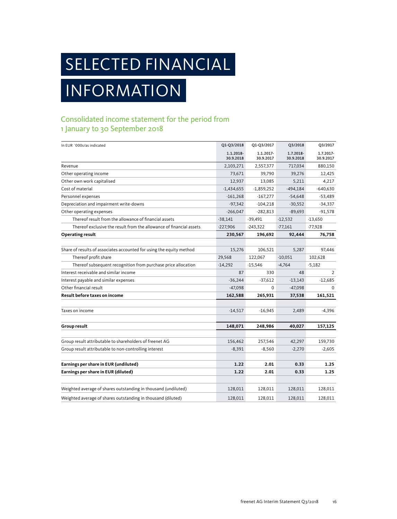## SELECTED FINANCIAL

## INFORMATION

## Consolidated income statement for the period from 1 January to 30 September 2018

| In EUR `000s/as indicated                                            | Q1-Q3/2018             | Q1-Q3/2017             | Q3/2018                | Q3/2017                |
|----------------------------------------------------------------------|------------------------|------------------------|------------------------|------------------------|
|                                                                      | 1.1.2018-<br>30.9.2018 | 1.1.2017-<br>30.9.2017 | 1.7.2018-<br>30.9.2018 | 1.7.2017-<br>30.9.2017 |
| Revenue                                                              | 2,103,271              | 2,557,377              | 717,034                | 880,150                |
| Other operating income                                               | 73,671                 | 39,790                 | 39,276                 | 12,425                 |
| Other own work capitalised                                           | 12,937                 | 13,085                 | 5,211                  | 4,217                  |
| Cost of material                                                     | $-1,434,655$           | $-1,859,252$           | $-494,184$             | $-640,630$             |
| Personnel expenses                                                   | $-161,268$             | $-167,277$             | $-54,648$              | $-53,489$              |
| Depreciation and impairment write-downs                              | $-97,342$              | $-104,218$             | $-30,552$              | $-34,337$              |
| Other operating expenses                                             | $-266,047$             | $-282,813$             | $-89,693$              | $-91,578$              |
| Thereof result from the allowance of financial assets                | $-38,141$              | $-39,491$              | $-12,532$              | $-13,650$              |
| Thereof exclusive the result from the allowance of financial assets  | $-227,906$             | $-243,322$             | $-77,161$              | -77,928                |
| Operating result                                                     | 230,567                | 196,692                | 92,444                 | 76,758                 |
|                                                                      |                        |                        |                        |                        |
| Share of results of associates accounted for using the equity method | 15,276                 | 106.521                | 5,287                  | 97.446                 |
| Thereof profit share                                                 | 29,568                 | 122,067                | $-10,051$              | 102,628                |
| Thereof subsequent recognition from purchase price allocation        | $-14,292$              | $-15,546$              | $-4,764$               | $-5,182$               |
| Interest receivable and similar income                               | 87                     | 330                    | 48                     | 2                      |
| Interest payable and similar expenses                                | $-36,244$              | $-37,612$              | $-13,143$              | $-12,685$              |
| Other financial result                                               | $-47,098$              | $\Omega$               | $-47,098$              | $\Omega$               |
| Result before taxes on income                                        | 162,588                | 265,931                | 37,538                 | 161,521                |
|                                                                      |                        |                        |                        |                        |
| Taxes on income                                                      | $-14,517$              | $-16,945$              | 2,489                  | $-4,396$               |
| Group result                                                         | 148,071                | 248,986                | 40,027                 | 157,125                |
|                                                                      |                        |                        |                        |                        |
| Group result attributable to shareholders of freenet AG              | 156,462                | 257,546                | 42,297                 | 159,730                |
| Group result attributable to non-controlling interest                | $-8,391$               | $-8,560$               | $-2,270$               | $-2,605$               |
| Earnings per share in EUR (undiluted)                                | 1.22                   | 2.01                   | 0.33                   | 1.25                   |
| Earnings per share in EUR (diluted)                                  | 1.22                   | 2.01                   | 0.33                   | 1.25                   |
|                                                                      |                        |                        |                        |                        |
| Weighted average of shares outstanding in thousand (undiluted)       | 128,011                | 128,011                | 128,011                | 128,011                |
| Weighted average of shares outstanding in thousand (diluted)         | 128,011                | 128,011                | 128,011                | 128,011                |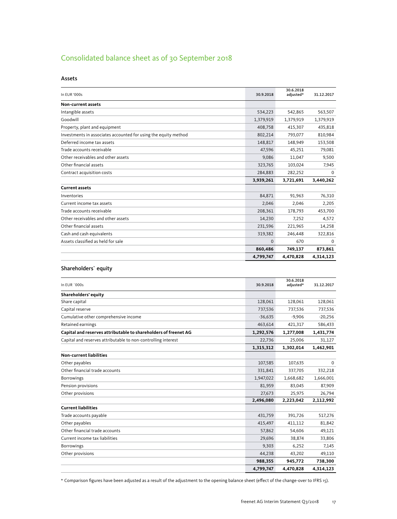## Consolidated balance sheet as of 30 September 2018

| In EUR '000s                                                    | 30.9.2018 | 30.6.2018<br>adjusted* | 31.12.2017 |
|-----------------------------------------------------------------|-----------|------------------------|------------|
| Non-current assets                                              |           |                        |            |
| Intangible assets                                               | 534,223   | 542,865                | 563,507    |
| Goodwill                                                        | 1,379,919 | 1,379,919              | 1,379,919  |
| Property, plant and equipment                                   | 408,758   | 415,307                | 435,818    |
| Investments in associates accounted for using the equity method | 802,214   | 793,077                | 810,984    |
| Deferred income tax assets                                      | 148,817   | 148,949                | 153,508    |
| Trade accounts receivable                                       | 47,596    | 45,251                 | 79,081     |
| Other receivables and other assets                              | 9,086     | 11,047                 | 9,500      |
| Other financial assets                                          | 323,765   | 103,024                | 7,945      |
| Contract acquisition costs                                      | 284,883   | 282,252                | $\Omega$   |
|                                                                 | 3,939,261 | 3,721,691              | 3,440,262  |
| <b>Current assets</b>                                           |           |                        |            |
| Inventories                                                     | 84,871    | 91,963                 | 76,310     |
| Current income tax assets                                       | 2,046     | 2,046                  | 2,205      |
| Trade accounts receivable                                       | 208,361   | 178,793                | 453,700    |
| Other receivables and other assets                              | 14,230    | 7,252                  | 4,572      |
| Other financial assets                                          | 231,596   | 221,965                | 14,258     |
| Cash and cash equivalents                                       | 319,382   | 246,448                | 322,816    |
| Assets classified as held for sale                              | $\Omega$  | 670                    | $\Omega$   |
|                                                                 | 860,486   | 749,137                | 873,861    |
|                                                                 | 4,799,747 | 4.470.828              | 4,314,123  |

#### Shareholders` equity

| In EUR `000s                                                    | 30.9.2018 | 30.6.2018<br>adjusted* | 31.12.2017  |
|-----------------------------------------------------------------|-----------|------------------------|-------------|
| Shareholders' equity                                            |           |                        |             |
| Share capital                                                   | 128,061   | 128,061                | 128,061     |
| Capital reserve                                                 | 737,536   | 737,536                | 737,536     |
| Cumulative other comprehensive income                           | $-36,635$ | $-9,906$               | $-20,256$   |
| Retained earnings                                               | 463,614   | 421,317                | 586,433     |
| Capital and reserves attributable to shareholders of freenet AG | 1,292,576 | 1,277,008              | 1,431,774   |
| Capital and reserves attributable to non-controlling interest   | 22,736    | 25,006                 | 31,127      |
|                                                                 | 1,315,312 | 1,302,014              | 1,462,901   |
| <b>Non-current liabilities</b>                                  |           |                        |             |
| Other payables                                                  | 107,585   | 107,635                | $\mathbf 0$ |
| Other financial trade accounts                                  | 331,841   | 337,705                | 332,218     |
| <b>Borrowings</b>                                               | 1,947,022 | 1,668,682              | 1,666,001   |
| Pension provisions                                              | 81,959    | 83,045                 | 87,909      |
| Other provisions                                                | 27,673    | 25,975                 | 26,794      |
|                                                                 | 2,496,080 | 2,223,042              | 2,112,992   |
| <b>Current liabilities</b>                                      |           |                        |             |
| Trade accounts payable                                          | 431,759   | 391,726                | 517,276     |
| Other payables                                                  | 415,497   | 411,112                | 81,842      |
| Other financial trade accounts                                  | 57,862    | 54,606                 | 49,121      |
| Current income tax liabilities                                  | 29,696    | 38,874                 | 33,806      |
| <b>Borrowings</b>                                               | 9.303     | 6,252                  | 7,145       |
| Other provisions                                                | 44,238    | 43,202                 | 49,110      |
|                                                                 | 988,355   | 945,772                | 738,300     |
|                                                                 | 4,799,747 | 4,470,828              | 4,314,123   |

\* Comparison figures have been adjusted as a result of the adjustment to the opening balance sheet (effect of the change-over to IFRS 15).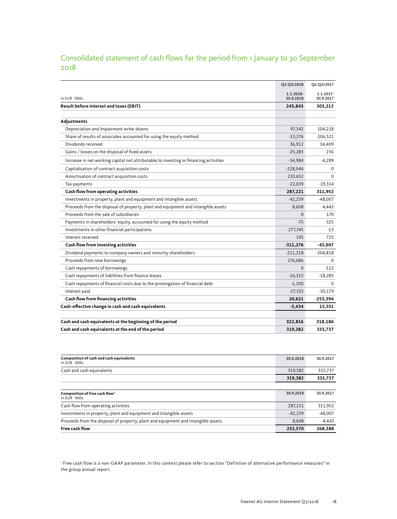## Consolidated statement of cash flows for the period from 1 January to 30 September 2018

|                                                                                       | Q1-Q3/2018             | Q1-Q3/2017             |
|---------------------------------------------------------------------------------------|------------------------|------------------------|
| In EUR `000s                                                                          | 1.1.2018-<br>30.9.2018 | 1.1.2017-<br>30.9.2017 |
| Result before interest and taxes (EBIT)                                               | 245,843                | 303,213                |
|                                                                                       |                        |                        |
| Adjustments                                                                           |                        |                        |
| Depreciation and impairment write-downs                                               | 97,342                 | 104,218                |
| Share of results of associates accounted for using the equity method                  | $-15,276$              | $-106,521$             |
| Dividends received                                                                    | 36,912                 | 34,409                 |
| Gains / losses on the disposal of fixed assets                                        | $-25,283$              | 236                    |
| Increase in net working capital not attributable to investing or financing activities | $-34,984$              | $-4,289$               |
| Capitalisation of contract acquisition costs                                          | $-228,946$             | $\Omega$               |
| Amortisation of contract acquisition costs                                            | 233,652                | $\Omega$               |
| Tax payments                                                                          | $-22,039$              | $-19,314$              |
| Cash flow from operating activities                                                   | 287,221                | 311,952                |
| Investments in property, plant and equipment and intangible assets                    | $-42,259$              | $-48,007$              |
| Proceeds from the disposal of property, plant and equipment and intangible assets     | 8,608                  | 4,443                  |
| Proceeds from the sale of subsidiaries                                                | $\Omega$               | 170                    |
| Payments in shareholders' equity, accounted for using the equity method               | $-75$                  | $-325$                 |
| Investments in other financial participations                                         | $-277,745$             | $-13$                  |
| Interest received                                                                     | 195                    | 725                    |
| Cash flow from investing activities                                                   | $-311,276$             | -43,007                |
| Dividend payments to company owners and minority shareholders                         | $-211,218$             | $-204,818$             |
| Proceeds from new borrowings                                                          | 276,686                | $\Omega$               |
| Cash repayments of borrowings                                                         | $\Omega$               | $-112$                 |
| Cash repayments of liabilities from finance leases                                    | $-16,315$              | $-18,285$              |
| Cash repayments of financial costs due to the prolongation of financial debt          | $-1,200$               | $\Omega$               |
| Interest paid                                                                         | $-27,332$              | $-30,179$              |
| Cash flow from financing activities                                                   | 20,621                 | $-253,394$             |
| Cash-effective change in cash and cash equivalents                                    | $-3,434$               | 15,551                 |
|                                                                                       |                        |                        |
| Cash and cash equivalents at the beginning of the period                              | 322,816                | 318,186                |
| Cash and cash equivalents at the end of the period                                    | 319,382                | 333,737                |

| Composition of cash and cash equivalents<br>In FUR $\log$                         | 30.9.2018 | 30.9.2017 |
|-----------------------------------------------------------------------------------|-----------|-----------|
| Cash and cash equivalents                                                         | 319.382   | 333,737   |
|                                                                                   | 319,382   | 333,737   |
|                                                                                   |           |           |
| Composition of free cash flow <sup>1</sup><br>In FUR `000s                        | 30.9.2018 | 30.9.2017 |
| Cash flow from operating activities                                               | 287,221   | 311,952   |
| Investments in property, plant and equipment and intangible assets                | $-42.259$ | $-48.007$ |
| Proceeds from the disposal of property, plant and equipment and intangible assets | 8.608     | 4,443     |
| Free cash flow                                                                    | 253,570   | 268,388   |

<sup>1</sup> Free cash flow is a non-GAAP parameter. In this context please refer to section "Defintion of alternative performance measures" in the group annual report.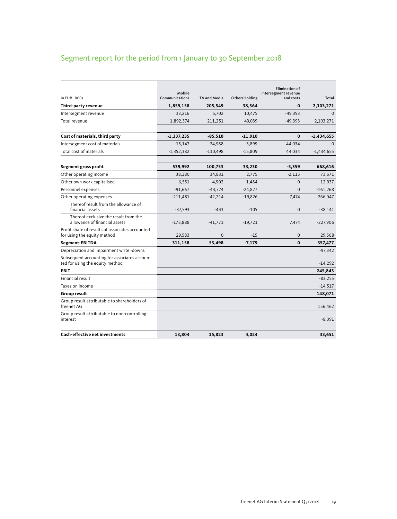## Segment report for the period from 1 January to 30 September 2018

| In EUR `000s                                                                    | Mobile<br>Communications | TV and Media | Other/Holding | <b>Elimination of</b><br>intersegment revenue<br>and costs | Total        |
|---------------------------------------------------------------------------------|--------------------------|--------------|---------------|------------------------------------------------------------|--------------|
| Third-party revenue                                                             | 1,859,158                | 205,549      | 38,564        | $\Omega$                                                   | 2,103,271    |
| Intersegment revenue                                                            | 33,216                   | 5,702        | 10,475        | $-49,393$                                                  | $\Omega$     |
| Total revenue                                                                   | 1,892,374                | 211,251      | 49,039        | $-49,393$                                                  | 2,103,271    |
| Cost of materials, third party                                                  | $-1,337,235$             | $-85,510$    | $-11,910$     | $\mathbf{0}$                                               | $-1,434,655$ |
| Intersegment cost of materials                                                  | $-15,147$                | $-24,988$    | $-3,899$      | 44,034                                                     | $\mathbf{0}$ |
| Total cost of materials                                                         | $-1,352,382$             | $-110.498$   | $-15.809$     | 44.034                                                     | $-1,434,655$ |
| Segment gross profit                                                            | 539,992                  | 100,753      | 33,230        | $-5,359$                                                   | 668,616      |
| Other operating income                                                          | 38,180                   | 34,831       | 2,775         | $-2,115$                                                   | 73,671       |
| Other own work capitalised                                                      | 6,551                    | 4,902        | 1,484         | $\Omega$                                                   | 12,937       |
| Personnel expenses                                                              | $-91,667$                | $-44,774$    | $-24,827$     | $\Omega$                                                   | $-161,268$   |
| Other operating expenses                                                        | $-211,481$               | $-42,214$    | $-19,826$     | 7.474                                                      | $-266,047$   |
| Thereof result from the allowance of<br>financial assets                        | $-37,593$                | $-443$       | $-105$        | $\Omega$                                                   | $-38,141$    |
| Thereof exclusive the result from the<br>allowance of financial assets          | $-173,888$               | $-41,771$    | $-19,721$     | 7,474                                                      | $-227,906$   |
| Profit share of results of associates accounted<br>for using the equity method  | 29,583                   | $\Omega$     | $-15$         | $\mathbf{0}$                                               | 29,568       |
| Segment-EBITDA                                                                  | 311,158                  | 53,498       | $-7,179$      | $\mathbf 0$                                                | 357,477      |
| Depreciation and impairment write -downs                                        |                          |              |               |                                                            | $-97,342$    |
| Subsequent accounting for associates accoun-<br>ted for using the equity method |                          |              |               |                                                            | $-14,292$    |
| <b>EBIT</b>                                                                     |                          |              |               |                                                            | 245,843      |
| Financial result                                                                |                          |              |               |                                                            | $-83,255$    |
| Taxes on income                                                                 |                          |              |               |                                                            | $-14,517$    |
| Group result                                                                    |                          |              |               |                                                            | 148,071      |
| Group result attributable to shareholders of<br>freenet AG                      |                          |              |               |                                                            | 156,462      |
| Group result attributable to non-controlling<br>interest                        |                          |              |               |                                                            | $-8,391$     |
| Cash-effective net investments                                                  | 13,804                   | 15,823       | 4,024         |                                                            | 33,651       |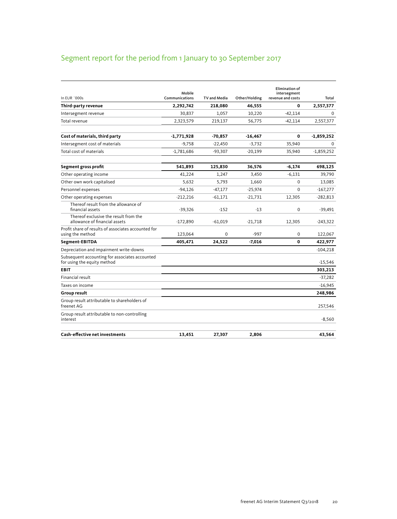## Segment report for the period from 1 January to 30 September 2017

| In FUR `000s                                                                  | Mobile<br>Communications | TV and Media | Other/Holding | <b>Elimination of</b><br>intersegment<br>revenue and costs | Total        |
|-------------------------------------------------------------------------------|--------------------------|--------------|---------------|------------------------------------------------------------|--------------|
| Third-party revenue                                                           | 2,292,742                | 218,080      | 46,555        | 0                                                          | 2,557,377    |
| Intersegment revenue                                                          | 30,837                   | 1,057        | 10,220        | $-42,114$                                                  | $\Omega$     |
| Total revenue                                                                 | 2,323,579                | 219,137      | 56,775        | $-42,114$                                                  | 2,557,377    |
| Cost of materials, third party                                                | $-1,771,928$             | -70,857      | $-16,467$     | 0                                                          | $-1,859,252$ |
| Intersegment cost of materials                                                | $-9,758$                 | $-22,450$    | $-3,732$      | 35,940                                                     | $\mathbf 0$  |
| Total cost of materials                                                       | $-1,781,686$             | $-93.307$    | $-20.199$     | 35,940                                                     | $-1,859,252$ |
| Segment gross profit                                                          | 541,893                  | 125,830      | 36,576        | $-6,174$                                                   | 698,125      |
| Other operating income                                                        | 41.224                   | 1,247        | 3.450         | $-6,131$                                                   | 39.790       |
| Other own work capitalised                                                    | 5,632                    | 5,793        | 1,660         | $\mathbf 0$                                                | 13,085       |
| Personnel expenses                                                            | $-94,126$                | $-47,177$    | $-25,974$     | $\Omega$                                                   | $-167,277$   |
| Other operating expenses                                                      | $-212,216$               | -61,171      | $-21,731$     | 12.305                                                     | $-282,813$   |
| Thereof result from the allowance of<br>financial assets                      | $-39,326$                | $-152$       | $-13$         | $\mathbf 0$                                                | $-39,491$    |
| Thereof exclusive the result from the<br>allowance of financial assets        | $-172,890$               | -61.019      | $-21.718$     | 12,305                                                     | $-243,322$   |
| Profit share of results of associates accounted for<br>using the method       | 123,064                  | 0            | $-997$        | $\mathbf 0$                                                | 122,067      |
| Segment-EBITDA                                                                | 405,471                  | 24,522       | $-7,016$      | 0                                                          | 422,977      |
| Depreciation and impairment write-downs                                       |                          |              |               |                                                            | $-104,218$   |
| Subsequent accounting for associates accounted<br>for using the equity method |                          |              |               |                                                            | $-15,546$    |
| <b>EBIT</b>                                                                   |                          |              |               |                                                            | 303,213      |
| Financial result                                                              |                          |              |               |                                                            | $-37.282$    |
| Taxes on income                                                               |                          |              |               |                                                            | $-16,945$    |
| Group result                                                                  |                          |              |               |                                                            | 248,986      |
| Group result attributable to shareholders of<br>freenet AG                    |                          |              |               |                                                            | 257,546      |
| Group result attributable to non-controlling<br>interest                      |                          |              |               |                                                            | $-8,560$     |
| <b>Cash-effective net investments</b>                                         | 13,451                   | 27,307       | 2,806         |                                                            | 43,564       |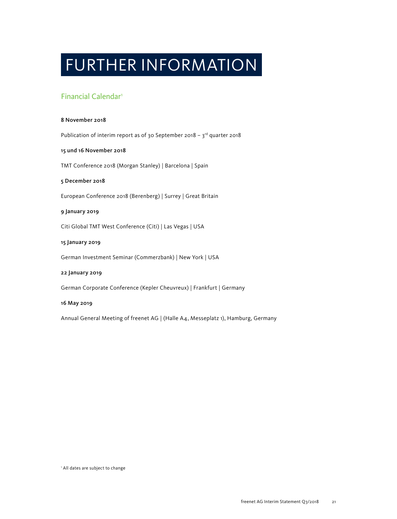## FURTHER INFORMATION

## Financial Calendar1

#### 8 November 2018

Publication of interim report as of 30 September 2018 -  $3^{rd}$  quarter 2018

#### 15 und 16 November 2018

TMT Conference 2018 (Morgan Stanley) | Barcelona | Spain

#### 5 December 2018

European Conference 2018 (Berenberg) | Surrey | Great Britain

#### 9 January 2019

Citi Global TMT West Conference (Citi) | Las Vegas | USA

#### 15 January 2019

German Investment Seminar (Commerzbank) | New York | USA

#### 22 January 2019

German Corporate Conference (Kepler Cheuvreux) | Frankfurt | Germany

#### 16 May 2019

Annual General Meeting of freenet AG | (Halle A4, Messeplatz 1), Hamburg, Germany

<sup>1</sup> All dates are subject to change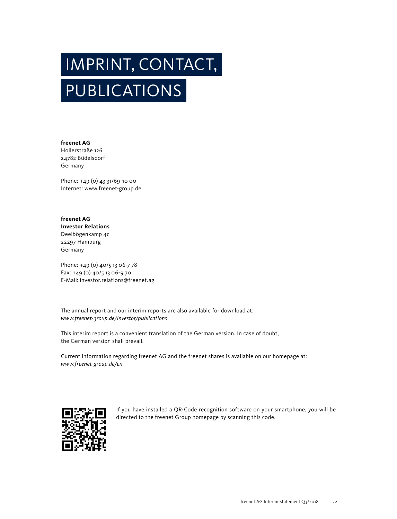# PUBLICATIONS IMPRINT, CONTACT,

**freenet AG** Hollerstraße 126 24782 Büdelsdorf Germany

Phone: +49 (0) 43 31/69-10 00 Internet: www.freenet-group.de

**freenet AG Investor Relations** Deelbögenkamp 4c 22297 Hamburg Germany

Phone: +49 (0) 40/5 13 06-7 78 Fax: +49 (0) 40/5 13 06-9 70 E-Mail: investor.relations@freenet.ag

The annual report and our interim reports are also available for download at: *www.freenet-group.de/investor/publications*

This interim report is a convenient translation of the German version. In case of doubt, the German version shall prevail.

Current information regarding freenet AG and the freenet shares is available on our homepage at: *www.freenet-group.de/en*



If you have installed a QR-Code recognition software on your smartphone, you will be directed to the freenet Group homepage by scanning this code.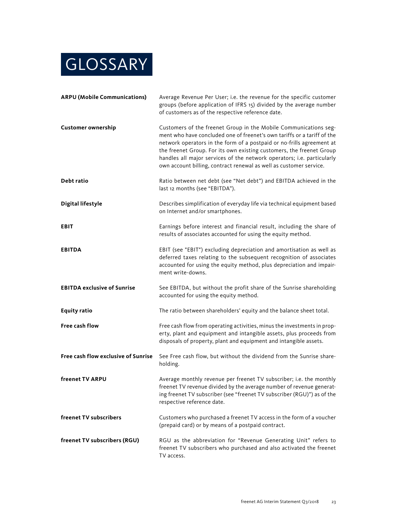

| <b>ARPU (Mobile Communications)</b> | Average Revenue Per User; i.e. the revenue for the specific customer<br>groups (before application of IFRS 15) divided by the average number<br>of customers as of the respective reference date.                                                                                                                                                                                                                                            |  |
|-------------------------------------|----------------------------------------------------------------------------------------------------------------------------------------------------------------------------------------------------------------------------------------------------------------------------------------------------------------------------------------------------------------------------------------------------------------------------------------------|--|
| <b>Customer ownership</b>           | Customers of the freenet Group in the Mobile Communications seg-<br>ment who have concluded one of freenet's own tariffs or a tariff of the<br>network operators in the form of a postpaid or no-frills agreement at<br>the freenet Group. For its own existing customers, the freenet Group<br>handles all major services of the network operators; i.e. particularly<br>own account billing, contract renewal as well as customer service. |  |
| Debt ratio                          | Ratio between net debt (see "Net debt") and EBITDA achieved in the<br>last 12 months (see "EBITDA").                                                                                                                                                                                                                                                                                                                                         |  |
| <b>Digital lifestyle</b>            | Describes simplification of everyday life via technical equipment based<br>on Internet and/or smartphones.                                                                                                                                                                                                                                                                                                                                   |  |
| <b>EBIT</b>                         | Earnings before interest and financial result, including the share of<br>results of associates accounted for using the equity method.                                                                                                                                                                                                                                                                                                        |  |
| <b>EBITDA</b>                       | EBIT (see "EBIT") excluding depreciation and amortisation as well as<br>deferred taxes relating to the subsequent recognition of associates<br>accounted for using the equity method, plus depreciation and impair-<br>ment write-downs.                                                                                                                                                                                                     |  |
| <b>EBITDA exclusive of Sunrise</b>  | See EBITDA, but without the profit share of the Sunrise shareholding<br>accounted for using the equity method.                                                                                                                                                                                                                                                                                                                               |  |
| <b>Equity ratio</b>                 | The ratio between shareholders' equity and the balance sheet total.                                                                                                                                                                                                                                                                                                                                                                          |  |
| <b>Free cash flow</b>               | Free cash flow from operating activities, minus the investments in prop-<br>erty, plant and equipment and intangible assets, plus proceeds from<br>disposals of property, plant and equipment and intangible assets.                                                                                                                                                                                                                         |  |
| Free cash flow exclusive of Sunrise | See Free cash flow, but without the dividend from the Sunrise share-<br>holding.                                                                                                                                                                                                                                                                                                                                                             |  |
| freenet TV ARPU                     | Average monthly revenue per freenet TV subscriber; i.e. the monthly<br>freenet TV revenue divided by the average number of revenue generat-<br>ing freenet TV subscriber (see "freenet TV subscriber (RGU)") as of the<br>respective reference date.                                                                                                                                                                                         |  |
| freenet TV subscribers              | Customers who purchased a freenet TV access in the form of a voucher<br>(prepaid card) or by means of a postpaid contract.                                                                                                                                                                                                                                                                                                                   |  |
| freenet TV subscribers (RGU)        | RGU as the abbreviation for "Revenue Generating Unit" refers to<br>freenet TV subscribers who purchased and also activated the freenet<br>TV access.                                                                                                                                                                                                                                                                                         |  |